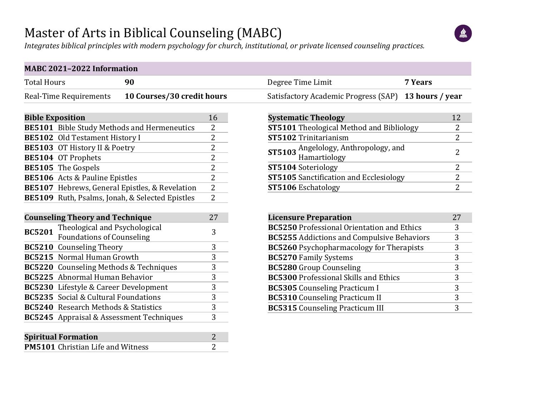## Master of Arts in Biblical Counseling (MABC)

 $\frac{d\alpha}{d\beta}$ 

*Integrates biblical principles with modern psychology for church, institutional, or private licensed counseling practices.*

| <b>Total Hours</b><br>90                                   |                                  | Degree Time Limit<br>7 Years                                   |                |
|------------------------------------------------------------|----------------------------------|----------------------------------------------------------------|----------------|
| 10 Courses/30 credit hours<br>Real-Time Requirements       |                                  | <b>Satisfactory Academic Progress (SAP)</b><br>13 hours / year |                |
| <b>Bible Exposition</b>                                    | 16                               | <b>Systematic Theology</b>                                     | 12             |
| <b>BE5101</b> Bible Study Methods and Hermeneutics         | 2                                | <b>ST5101</b> Theological Method and Bibliology                | 2              |
| BE5102 Old Testament History I                             | 2                                | ST5102 Trinitarianism                                          | $\overline{2}$ |
| BE5103 OT History II & Poetry<br><b>BE5104 OT Prophets</b> | $\overline{c}$<br>$\overline{2}$ | ST5103 Angelology, Anthropology, and<br>Hamartiology           | $\overline{2}$ |
| BE5105 The Gospels                                         | $\overline{2}$                   | ST5104 Soteriology                                             | $\overline{2}$ |
| BE5106 Acts & Pauline Epistles                             | $\overline{2}$                   | <b>ST5105</b> Sanctification and Ecclesiology                  | $\overline{2}$ |
| BE5107 Hebrews, General Epistles, & Revelation             | $\overline{2}$                   | ST5106 Eschatology                                             | $\overline{2}$ |
| BE5109 Ruth, Psalms, Jonah, & Selected Epistles            | 2                                |                                                                |                |
| <b>Counseling Theory and Technique</b>                     | 27                               | <b>Licensure Preparation</b>                                   | 27             |
| Theological and Psychological<br><b>BC5201</b>             | 3                                | <b>BC5250</b> Professional Orientation and Ethics              | 3              |
| <b>Foundations of Counseling</b>                           |                                  | <b>BC5255</b> Addictions and Compulsive Behaviors              | 3              |
| <b>BC5210</b> Counseling Theory                            | 3                                | <b>BC5260</b> Psychopharmacology for Therapists                | 3              |
| <b>BC5215</b> Normal Human Growth                          | $\overline{3}$                   | <b>BC5270 Family Systems</b>                                   | 3              |
| BC5220 Counseling Methods & Techniques                     | $\overline{3}$                   | <b>BC5280</b> Group Counseling                                 | 3              |
| <b>BC5225</b> Abnormal Human Behavior                      | $\overline{3}$                   | <b>BC5300 Professional Skills and Ethics</b>                   | 3              |
| BC5230 Lifestyle & Career Development                      | $\overline{3}$                   | <b>BC5305</b> Counseling Practicum I                           | 3              |
| BC5235 Social & Cultural Foundations                       | 3                                | <b>BC5310</b> Counseling Practicum II                          | 3              |
| <b>BC5240</b> Research Methods & Statistics                | $\overline{3}$                   | <b>BC5315</b> Counseling Practicum III                         | 3              |
| BC5245 Appraisal & Assessment Techniques                   | 3                                |                                                                |                |
| <b>Spiritual Formation</b>                                 | $\overline{2}$                   |                                                                |                |
| PM5101 Christian Life and Witness                          | 2                                |                                                                |                |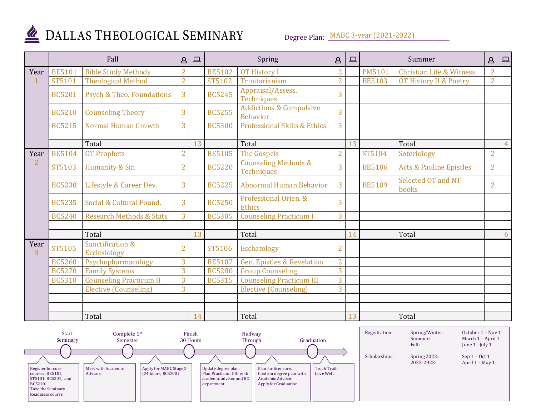

## DALLAS THEOLOGICAL SEMINARY

Degree Plan: MABC 3-year (2021-2022)

|                        | Fall          |                                      | $\Delta$       | $\boxed{\square}$ | Spring        |                                                       | $\Delta$       | $\Box$ |               | Summer                              | $\Delta$       | $\boxed{ }$    |
|------------------------|---------------|--------------------------------------|----------------|-------------------|---------------|-------------------------------------------------------|----------------|--------|---------------|-------------------------------------|----------------|----------------|
| Year                   | <b>BE5101</b> | <b>Bible Study Methods</b>           | $\overline{2}$ |                   | <b>BE5102</b> | <b>OT History I</b>                                   | $\overline{2}$ |        | <b>PM5101</b> | <b>Christian Life &amp; Witness</b> | $\overline{2}$ |                |
|                        | ST5101        | <b>Theological Method</b>            | $\overline{2}$ |                   | <b>ST5102</b> | Trinitarianism                                        | $\overline{2}$ |        | <b>BE5103</b> | OT History II & Poetry              | $\overline{2}$ |                |
|                        | <b>BC5201</b> | <b>Psych &amp; Theo. Foundations</b> | 3              |                   | <b>BC5245</b> | Appraisal/Assess.<br>Techniques                       | 3              |        |               |                                     |                |                |
|                        | <b>BC5210</b> | <b>Counseling Theory</b>             | 3              |                   | <b>BC5255</b> | <b>Addictions &amp; Compulsive</b><br><b>Behavior</b> | $\overline{3}$ |        |               |                                     |                |                |
|                        | <b>BC5215</b> | Normal Human Growth                  | 3              |                   | <b>BC5300</b> | <b>Professional Skills &amp; Ethics</b>               | 3              |        |               |                                     |                |                |
|                        |               |                                      |                |                   |               |                                                       |                |        |               |                                     |                |                |
|                        |               | Total                                |                | 13                |               | Total                                                 |                | 13     |               | Total                               |                | $\overline{4}$ |
| Year                   | <b>BE5104</b> | <b>OT Prophets</b>                   | $\overline{2}$ |                   | <b>BE5105</b> | <b>The Gospels</b>                                    | $\overline{2}$ |        | ST5104        | Soteriology                         | $\overline{2}$ |                |
| $\overline{2}$         | <b>ST5103</b> | Humanity & Sin                       | $\overline{2}$ |                   | <b>BC5220</b> | <b>Counseling Methods &amp;</b><br>Techniques         | 3              |        | <b>BE5106</b> | <b>Acts &amp; Pauline Epistles</b>  | $\overline{2}$ |                |
|                        | <b>BC5230</b> | Lifestyle & Career Dev.              | 3              |                   | <b>BC5225</b> | Abnormal Human Behavior                               | $\overline{3}$ |        | <b>BE5109</b> | Selected OT and NT<br>books         | $\overline{2}$ |                |
|                        | <b>BC5235</b> | Social & Cultural Found.             | $\overline{3}$ |                   | <b>BC5250</b> | Professional Orien. &<br><b>Ethics</b>                | $\overline{3}$ |        |               |                                     |                |                |
|                        | <b>BC5240</b> | <b>Research Methods &amp; Stats</b>  | 3              |                   | <b>BC5305</b> | <b>Counseling Practicum I</b>                         | 3              |        |               |                                     |                |                |
|                        |               |                                      |                |                   |               |                                                       |                |        |               |                                     |                |                |
|                        |               | Total                                |                | 13                |               | Total                                                 |                | 14     |               | Total                               |                | 6              |
| Year<br>$\overline{3}$ | <b>ST5105</b> | Sanctification &<br>Ecclesiology     | $\overline{2}$ |                   | <b>ST5106</b> | Eschatology                                           | $\overline{2}$ |        |               |                                     |                |                |
|                        | <b>BC5260</b> | Psychopharmacology                   | 3              |                   | <b>BE5107</b> | <b>Gen. Epistles &amp; Revelation</b>                 | $\overline{2}$ |        |               |                                     |                |                |
|                        | <b>BC5270</b> | <b>Family Systems</b>                | 3              |                   | <b>BC5280</b> | <b>Group Counseling</b>                               | 3              |        |               |                                     |                |                |
|                        | <b>BC5310</b> | <b>Counseling Practicum II</b>       | 3              |                   | <b>BC5315</b> | <b>Counseling Practicum III</b>                       | 3              |        |               |                                     |                |                |
|                        |               | <b>Elective (Counseling)</b>         | 3              |                   |               | <b>Elective (Counseling)</b>                          | 3              |        |               |                                     |                |                |
|                        |               |                                      |                |                   |               |                                                       |                |        |               |                                     |                |                |
|                        |               |                                      |                |                   |               |                                                       |                |        |               |                                     |                |                |
|                        |               | Total                                |                | 14                |               | Total                                                 |                | 13     |               | Total                               |                |                |

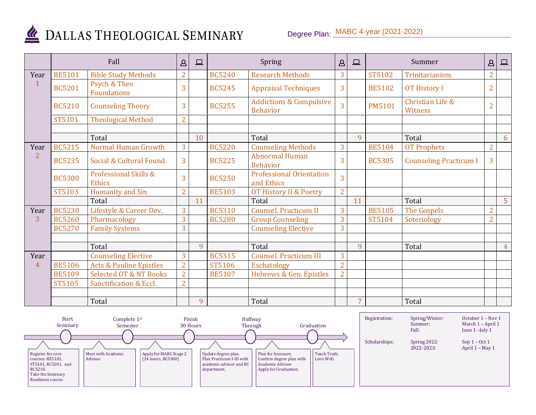

## DALLAS THEOLOGICAL SEMINARY

|                | Fall          |                                    | $\Delta$       | $\boxed{\Box}$ | Spring        |                                                       | $\Delta$       | $\square$      |               | Summer                        | $\Delta$       | $\boxed{\square}$ |
|----------------|---------------|------------------------------------|----------------|----------------|---------------|-------------------------------------------------------|----------------|----------------|---------------|-------------------------------|----------------|-------------------|
| Year           | <b>BE5101</b> | <b>Bible Study Methods</b>         | $\overline{2}$ |                | <b>BC5240</b> | <b>Research Methods</b>                               | 3              |                | ST5102        | Trinitarianism                | $\overline{2}$ |                   |
|                | <b>BC5201</b> | Psych & Theo<br><b>Foundations</b> | 3              |                | <b>BC5245</b> | <b>Appraisal Techniques</b>                           | 3              |                | <b>BE5102</b> | <b>OT History I</b>           | $\overline{2}$ |                   |
|                | <b>BC5210</b> | <b>Counseling Theory</b>           | 3              |                | <b>BC5255</b> | <b>Addictions &amp; Compulsive</b><br><b>Behavior</b> | $\overline{3}$ |                | <b>PM5101</b> | Christian Life &<br>Witness   | $\overline{2}$ |                   |
|                | <b>ST5101</b> | <b>Theological Method</b>          | $\overline{2}$ |                |               |                                                       |                |                |               |                               |                |                   |
|                |               | Total                              |                | 10             |               | Total                                                 |                | $\mathbf{q}$   |               | Total                         |                | 6                 |
| Year           | <b>BC5215</b> | Normal Human Growth                | $\overline{3}$ |                | <b>BC5220</b> | <b>Counseling Methods</b>                             | $\overline{3}$ |                | <b>BE5104</b> | <b>OT Prophets</b>            | $\overline{2}$ |                   |
| $\overline{2}$ | <b>BC5235</b> | Social & Cultural Found.           | 3              |                | <b>BC5225</b> | <b>Abnormal Human</b><br><b>Behavior</b>              | 3              |                | <b>BC5305</b> | <b>Counseling Practicum I</b> | 3              |                   |
|                | <b>BC5300</b> | Professional Skills &<br>Ethics    | 3              |                | <b>BC5250</b> | <b>Professional Orientation</b><br>and Ethics         | $\overline{3}$ |                |               |                               |                |                   |
|                | ST5103        | Humanity and Sin                   | $\overline{2}$ |                | <b>BE5103</b> | OT History II & Poetry                                | $\overline{2}$ |                |               |                               |                |                   |
|                |               | Total                              |                | 11             |               | Total                                                 |                | 11             |               | Total                         |                | 5 <sup>1</sup>    |
| Year           | <b>BC5230</b> | Lifestyle & Career Dev.            | $\overline{3}$ |                | <b>BC5310</b> | Counsel. Practicum II                                 | 3              |                | <b>BE5105</b> | <b>The Gospels</b>            | $\overline{2}$ |                   |
| 3              | <b>BC5260</b> | Pharmacology                       | 3              |                | <b>BC5280</b> | <b>Group Counseling</b>                               | 3              |                | ST5104        | Soteriology                   | $\overline{2}$ |                   |
|                | <b>BC5270</b> | <b>Family Systems</b>              | 3              |                |               | <b>Counseling Elective</b>                            | 3              |                |               |                               |                |                   |
|                |               |                                    |                |                |               |                                                       |                |                |               |                               |                |                   |
|                |               | Total                              |                | 9              |               | Total                                                 |                | 9              |               | Total                         |                | $\overline{4}$    |
| Year           |               | <b>Counseling Elective</b>         | 3              |                | <b>BC5315</b> | <b>Counsel. Practicum III</b>                         | 3              |                |               |                               |                |                   |
| 4              | <b>BE5106</b> | <b>Acts &amp; Pauline Epistles</b> | $\overline{2}$ |                | <b>ST5106</b> | <b>Eschatology</b>                                    | $\overline{2}$ |                |               |                               |                |                   |
|                | <b>BE5109</b> | <b>Selected OT &amp; NT Books</b>  | $\overline{2}$ |                | <b>BE5107</b> | Hebrews & Gen. Epistles                               | $\overline{2}$ |                |               |                               |                |                   |
|                | <b>ST5105</b> | Sanctification & Eccl.             | $\overline{2}$ |                |               |                                                       |                |                |               |                               |                |                   |
|                |               |                                    |                |                |               |                                                       |                |                |               |                               |                |                   |
|                |               | Total                              |                | 9              |               | Total                                                 |                | $\overline{7}$ |               | Total                         |                |                   |

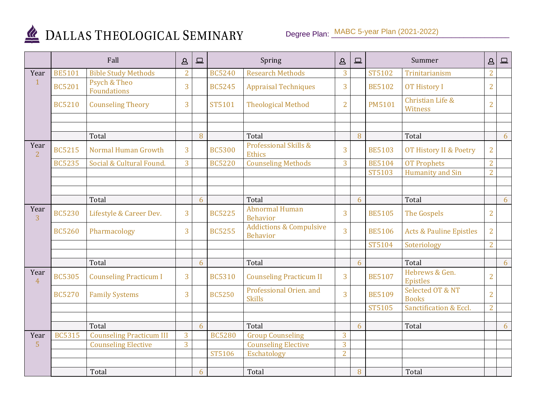

## DALLAS THEOLOGICAL SEMINARY

|                        | Fall          |                                 | $\mathbf{a}$   | 旦 |               | Spring                                                | $\Delta$       | $\square$ |               | Summer                             | $\Delta$       | $\Box$ |
|------------------------|---------------|---------------------------------|----------------|---|---------------|-------------------------------------------------------|----------------|-----------|---------------|------------------------------------|----------------|--------|
| Year                   | <b>BE5101</b> | <b>Bible Study Methods</b>      | $\overline{2}$ |   | <b>BC5240</b> | <b>Research Methods</b>                               | 3              |           | <b>ST5102</b> | Trinitarianism                     | $\overline{2}$ |        |
|                        | <b>BC5201</b> | Psych & Theo<br>Foundations     | 3              |   | <b>BC5245</b> | <b>Appraisal Techniques</b>                           | 3              |           | <b>BE5102</b> | <b>OT History I</b>                | $\overline{2}$ |        |
|                        | <b>BC5210</b> | <b>Counseling Theory</b>        | 3              |   | ST5101        | <b>Theological Method</b>                             | $\overline{2}$ |           | <b>PM5101</b> | Christian Life &<br>Witness        | $\overline{2}$ |        |
|                        |               |                                 |                |   |               |                                                       |                |           |               |                                    |                |        |
|                        |               |                                 |                |   |               |                                                       |                |           |               |                                    |                |        |
|                        |               | Total                           |                | 8 |               | Total                                                 |                | 8         |               | Total                              |                | 6      |
| Year<br>$\overline{2}$ | <b>BC5215</b> | Normal Human Growth             | $\overline{3}$ |   | <b>BC5300</b> | Professional Skills &<br><b>Ethics</b>                | 3              |           | <b>BE5103</b> | OT History II & Poetry             | $\overline{2}$ |        |
|                        | <b>BC5235</b> | Social & Cultural Found.        | $\overline{3}$ |   | <b>BC5220</b> | <b>Counseling Methods</b>                             | $\overline{3}$ |           | <b>BE5104</b> | <b>OT Prophets</b>                 | $\overline{2}$ |        |
|                        |               |                                 |                |   |               |                                                       |                |           | ST5103        | <b>Humanity and Sin</b>            | $\overline{2}$ |        |
|                        |               |                                 |                |   |               |                                                       |                |           |               |                                    |                |        |
|                        |               |                                 |                |   |               |                                                       |                |           |               |                                    |                |        |
|                        |               | Total                           |                | 6 |               | Total<br><b>Abnormal Human</b>                        |                | 6         |               | Total                              |                | 6      |
| Year<br>3              | <b>BC5230</b> | Lifestyle & Career Dev.         | 3              |   | <b>BC5225</b> | <b>Behavior</b>                                       | 3              |           | <b>BE5105</b> | <b>The Gospels</b>                 | $\overline{2}$ |        |
|                        | <b>BC5260</b> | Pharmacology                    | $\overline{3}$ |   | <b>BC5255</b> | <b>Addictions &amp; Compulsive</b><br><b>Behavior</b> | $\overline{3}$ |           | <b>BE5106</b> | <b>Acts &amp; Pauline Epistles</b> | $\overline{2}$ |        |
|                        |               |                                 |                |   |               |                                                       |                |           | ST5104        | Soteriology                        | $\overline{2}$ |        |
|                        |               |                                 |                |   |               |                                                       |                |           |               |                                    |                |        |
|                        |               | Total                           |                | 6 |               | Total                                                 |                | 6         |               | Total                              |                | 6      |
| Year<br>$\overline{4}$ | <b>BC5305</b> | <b>Counseling Practicum I</b>   | 3              |   | <b>BC5310</b> | <b>Counseling Practicum II</b>                        | $\overline{3}$ |           | <b>BE5107</b> | Hebrews & Gen.<br>Epistles         | $\overline{2}$ |        |
|                        | <b>BC5270</b> | <b>Family Systems</b>           | $\overline{3}$ |   | <b>BC5250</b> | Professional Orien. and<br><b>Skills</b>              | $\overline{3}$ |           | <b>BE5109</b> | Selected OT & NT<br><b>Books</b>   | $\overline{2}$ |        |
|                        |               |                                 |                |   |               |                                                       |                |           | <b>ST5105</b> | Sanctification & Eccl.             | $\overline{2}$ |        |
|                        |               |                                 |                |   |               |                                                       |                |           |               |                                    |                |        |
|                        |               | Total                           |                | 6 |               | Total                                                 |                | 6         |               | Total                              |                | 6      |
| Year                   | <b>BC5315</b> | <b>Counseling Practicum III</b> | 3              |   | <b>BC5280</b> | <b>Group Counseling</b>                               | 3              |           |               |                                    |                |        |
| 5                      |               | <b>Counseling Elective</b>      | $\overline{3}$ |   |               | <b>Counseling Elective</b>                            | 3              |           |               |                                    |                |        |
|                        |               |                                 |                |   | ST5106        | <b>Eschatology</b>                                    | $\overline{2}$ |           |               |                                    |                |        |
|                        |               |                                 |                |   |               |                                                       |                |           |               |                                    |                |        |
|                        |               | Total                           |                | 6 |               | Total                                                 |                | 8         |               | Total                              |                |        |